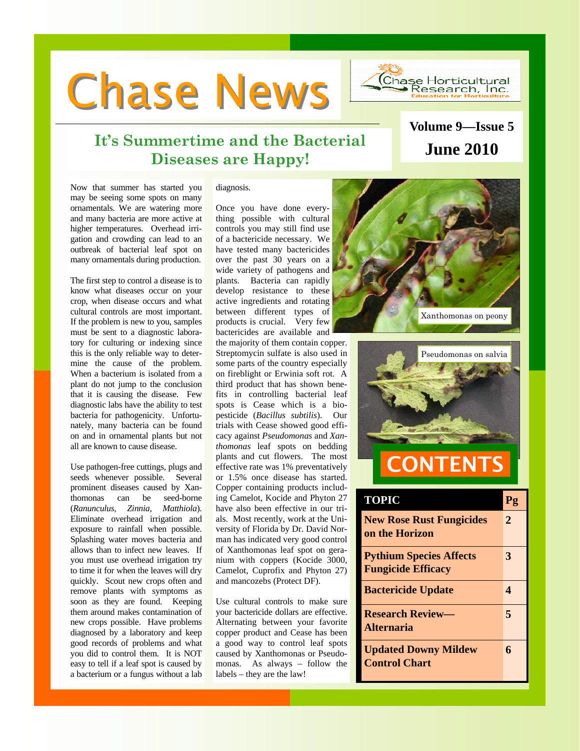**Chase News** 



## **It's Summertime and the Bacterial Diseases are Happy! June 2010**

# **Volume 9—Issue 5**

Now that summer has started you may be seeing some spots on many ornamentals. We are watering more and many bacteria are more active at higher temperatures. Overhead irrigation and crowding can lead to an outbreak of bacterial leaf spot on many ornamentals during production.

The first step to control a disease is to know what diseases occur on your crop, when disease occurs and what cultural controls are most important. If the problem is new to you, samples must be sent to a diagnostic laboratory for culturing or indexing since this is the only reliable way to determine the cause of the problem. When a bacterium is isolated from a plant do not jump to the conclusion that it is causing the disease. Few diagnostic labs have the ability to test bacteria for pathogenicity. Unfortunately, many bacteria can be found on and in ornamental plants but not all are known to cause disease.

Use pathogen-free cuttings, plugs and seeds whenever possible. Several prominent diseases caused by Xanthomonas can be seed-borne (*Ranunculus, Zinnia, Matthiola*). Eliminate overhead irrigation and exposure to rainfall when possible. Splashing water moves bacteria and allows than to infect new leaves. If you must use overhead irrigation try to time it for when the leaves will dry quickly. Scout new crops often and remove plants with symptoms as soon as they are found. Keeping them around makes contamination of new crops possible. Have problems diagnosed by a laboratory and keep good records of problems and what you did to control them. It is NOT easy to tell if a leaf spot is caused by a bacterium or a fungus without a lab

### diagnosis.

Once you have done everything possible with cultural controls you may still find use of a bactericide necessary. We have tested many bactericides over the past 30 years on a wide variety of pathogens and plants. Bacteria can rapidly develop resistance to these active ingredients and rotating between different types of products is crucial. Very few bactericides are available and

the majority of them contain copper. Streptomycin sulfate is also used in some parts of the country especially on fireblight or Erwinia soft rot. A third product that has shown benefits in controlling bacterial leaf spots is Cease which is a biopesticide (*Bacillus subtilis*). Our trials with Cease showed good efficacy against *Pseudomonas* and *Xanthomonas* leaf spots on bedding plants and cut flowers. The most effective rate was 1% preventatively or 1.5% once disease has started. Copper containing products including Camelot, Kocide and Phyton 27 have also been effective in our trials. Most recently, work at the University of Florida by Dr. David Norman has indicated very good control of Xanthomonas leaf spot on geranium with coppers (Kocide 3000, Camelot, Cuprofix and Phyton 27) and mancozebs (Protect DF).

Use cultural controls to make sure your bactericide dollars are effective. Alternating between your favorite copper product and Cease has been a good way to control leaf spots caused by Xanthomonas or Pseudomonas. As always – follow the labels – they are the law!





| <b>TOPIC</b>                                                | Pg |
|-------------------------------------------------------------|----|
| <b>New Rose Rust Fungicides</b><br>on the Horizon           | 2  |
| <b>Pythium Species Affects</b><br><b>Fungicide Efficacy</b> | 3  |
| <b>Bactericide Update</b>                                   | 4  |
| <b>Research Review—</b><br><b>Alternaria</b>                | 5  |
| <b>Updated Downy Mildew</b><br><b>Control Chart</b>         | 6  |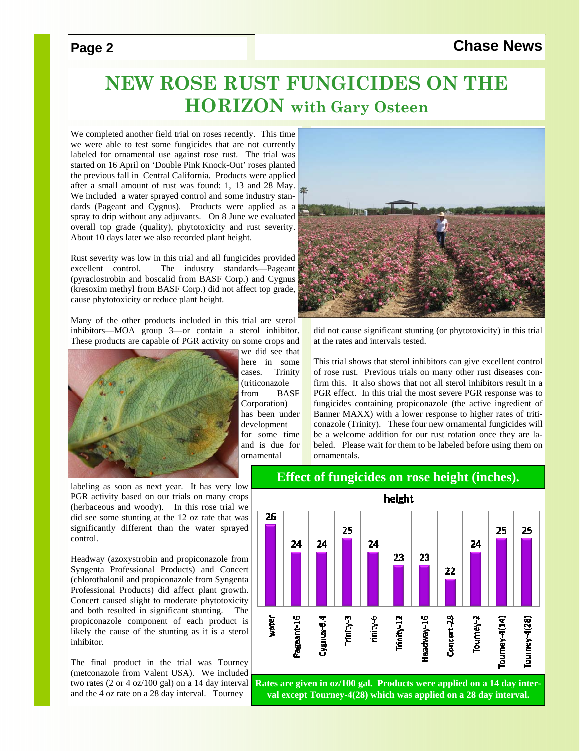### **Page 2** Chase News

# **NEW ROSE RUST FUNGICIDES ON THE HORIZON with Gary Osteen**

We completed another field trial on roses recently. This time we were able to test some fungicides that are not currently labeled for ornamental use against rose rust. The trial was started on 16 April on 'Double Pink Knock-Out' roses planted the previous fall in Central California. Products were applied after a small amount of rust was found: 1, 13 and 28 May. We included a water sprayed control and some industry standards (Pageant and Cygnus). Products were applied as a spray to drip without any adjuvants. On 8 June we evaluated overall top grade (quality), phytotoxicity and rust severity. About 10 days later we also recorded plant height.

Rust severity was low in this trial and all fungicides provided excellent control. The industry standards—Pageant (pyraclostrobin and boscalid from BASF Corp.) and Cygnus (kresoxim methyl from BASF Corp.) did not affect top grade, cause phytotoxicity or reduce plant height.

Many of the other products included in this trial are sterol inhibitors—MOA group 3—or contain a sterol inhibitor. These products are capable of PGR activity on some crops and



labeling as soon as next year. It has very low PGR activity based on our trials on many crops (herbaceous and woody). In this rose trial we did see some stunting at the 12 oz rate that was significantly different than the water sprayed control.

Headway (azoxystrobin and propiconazole from Syngenta Professional Products) and Concert (chlorothalonil and propiconazole from Syngenta Professional Products) did affect plant growth. Concert caused slight to moderate phytotoxicity and both resulted in significant stunting. The propiconazole component of each product is likely the cause of the stunting as it is a sterol inhibitor.

The final product in the trial was Tourney (metconazole from Valent USA). We included two rates (2 or 4 oz/100 gal) on a 14 day interval and the 4 oz rate on a 28 day interval. Tourney



did not cause significant stunting (or phytotoxicity) in this trial at the rates and intervals tested.

This trial shows that sterol inhibitors can give excellent control of rose rust. Previous trials on many other rust diseases confirm this. It also shows that not all sterol inhibitors result in a PGR effect. In this trial the most severe PGR response was to fungicides containing propiconazole (the active ingredient of Banner MAXX) with a lower response to higher rates of triticonazole (Trinity). These four new ornamental fungicides will be a welcome addition for our rust rotation once they are labeled. Please wait for them to be labeled before using them on ornamentals.

### **Effect of fungicides on rose height (inches).**



**val except Tourney-4(28) which was applied on a 28 day interval.**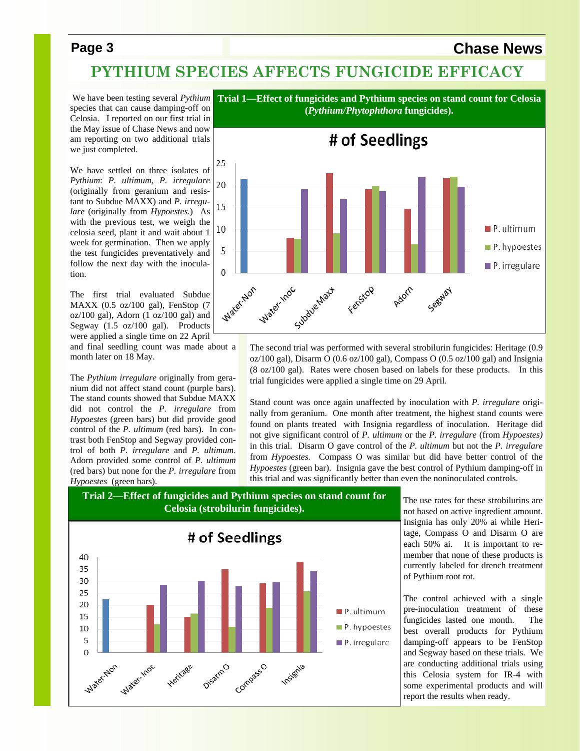### **Page 3** Chase News

## **PYTHIUM SPECIES AFFECTS FUNGICIDE EFFICACY**

 We have been testing several *Pythium*  species that can cause damping-off on Celosia. I reported on our first trial in the May issue of Chase News and now am reporting on two additional trials we just completed.

We have settled on three isolates of *Pythium*: *P. ultimum, P. irregulare*  (originally from geranium and resistant to Subdue MAXX) and *P. irregulare* (originally from *Hypoestes.*) As with the previous test, we weigh the celosia seed, plant it and wait about 1 week for germination. Then we apply the test fungicides preventatively and follow the next day with the inoculation.

The first trial evaluated Subdue MAXX (0.5 oz/100 gal), FenStop (7  $oz/100$  gal), Adorn  $(1 oz/100 gal)$  and Segway (1.5 oz/100 gal). Products were applied a single time on 22 April

and final seedling count was made about a month later on 18 May.

The *Pythium irregulare* originally from geranium did not affect stand count (purple bars). The stand counts showed that Subdue MAXX did not control the *P. irregulare* from *Hypoestes* (green bars) but did provide good control of the *P. ultimum* (red bars). In contrast both FenStop and Segway provided control of both *P. irregulare* and *P. ultimum*. Adorn provided some control of *P. ultimum*  (red bars) but none for the *P. irregulare* from *Hypoestes* (green bars).



The second trial was performed with several strobilurin fungicides: Heritage (0.9 oz/100 gal), Disarm O (0.6 oz/100 gal), Compass O (0.5 oz/100 gal) and Insignia (8 oz/100 gal). Rates were chosen based on labels for these products. In this trial fungicides were applied a single time on 29 April.

Stand count was once again unaffected by inoculation with *P. irregulare* originally from geranium. One month after treatment, the highest stand counts were found on plants treated with Insignia regardless of inoculation. Heritage did not give significant control of *P. ultimum* or the *P. irregulare* (from *Hypoestes)*  in this trial. Disarm O gave control of the *P. ultimum* but not the *P. irregulare*  from *Hypoestes.* Compass O was similar but did have better control of the *Hypoestes* (green bar). Insignia gave the best control of Pythium damping-off in this trial and was significantly better than even the noninoculated controls.





The use rates for these strobilurins are not based on active ingredient amount. Insignia has only 20% ai while Heritage, Compass O and Disarm O are each 50% ai. It is important to remember that none of these products is currently labeled for drench treatment of Pythium root rot.

The control achieved with a single pre-inoculation treatment of these fungicides lasted one month. The best overall products for Pythium damping-off appears to be FenStop and Segway based on these trials. We are conducting additional trials using this Celosia system for IR-4 with some experimental products and will report the results when ready.

**Trial 1—Effect of fungicides and Pythium species on stand count for Celosia (***Pythium/Phytophthora* **fungicides).**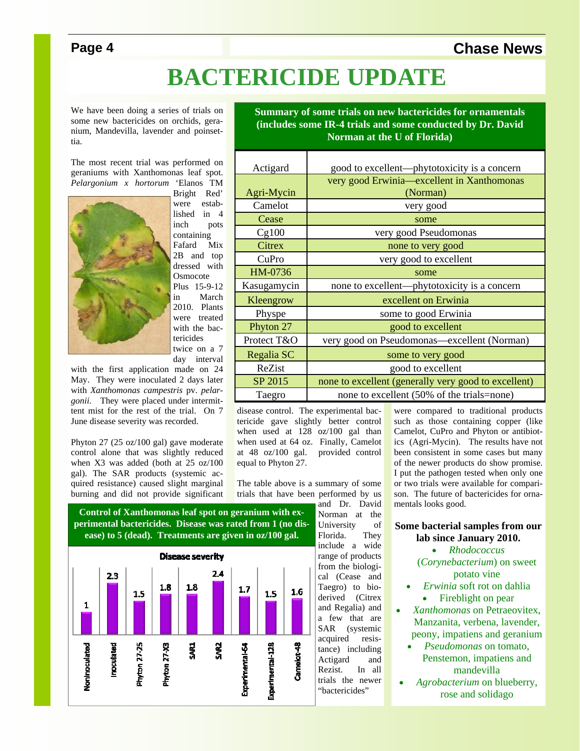## **Page 4** Chase News

# **BACTERICIDE UPDATE**

We have been doing a series of trials on some new bactericides on orchids, geranium, Mandevilla, lavender and poinsettia.

The most recent trial was performed on geraniums with Xanthomonas leaf spot. *Pelargonium x hortorum* 'Elanos TM



Bright Red' were established in 4 inch pots containing Fafard Mix 2B and top dressed with **Osmocote** Plus 15-9-12 in March 2010. Plants were treated with the bactericides twice on a 7

day interval with the first application made on 24 May. They were inoculated 2 days later

with *Xanthomonas campestris* pv. *pelargonii*. They were placed under intermittent mist for the rest of the trial. On 7 June disease severity was recorded.

Phyton 27 (25 oz/100 gal) gave moderate control alone that was slightly reduced when X3 was added (both at 25 oz/100 gal). The SAR products (systemic acquired resistance) caused slight marginal burning and did not provide significant



**Control of Xanthomonas leaf spot on geranium with experimental bactericides. Disease was rated from 1 (no dis-**

and Dr. David Norman at the University of<br>Florida. They Florida. include a wide range of products from the biological (Cease and Taegro) to bioderived (Citrex and Regalia) and a few that are SAR (systemic acquired resistance) including Actigard and Rezist. In all trials the newer "bactericides"

**Summary of some trials on new bactericides for ornamentals (includes some IR-4 trials and some conducted by Dr. David Norman at the U of Florida)** 

| Actigard    | good to excellent—phytotoxicity is a concern         |  |  |
|-------------|------------------------------------------------------|--|--|
|             | very good Erwinia—excellent in Xanthomonas           |  |  |
| Agri-Mycin  | (Norman)                                             |  |  |
| Camelot     | very good                                            |  |  |
| Cease       | some                                                 |  |  |
| Cg100       | very good Pseudomonas                                |  |  |
| Citrex      | none to very good                                    |  |  |
| CuPro       | very good to excellent                               |  |  |
| HM-0736     | some                                                 |  |  |
| Kasugamycin | none to excellent—phytotoxicity is a concern         |  |  |
| Kleengrow   | excellent on Erwinia                                 |  |  |
| Physpe      | some to good Erwinia                                 |  |  |
| Phyton 27   | good to excellent                                    |  |  |
| Protect T&O | very good on Pseudomonas—excellent (Norman)          |  |  |
| Regalia SC  | some to very good                                    |  |  |
| ReZist      | good to excellent                                    |  |  |
| SP 2015     | none to excellent (generally very good to excellent) |  |  |
| Taegro      | none to excellent (50% of the trials=none)           |  |  |

disease control. The experimental bactericide gave slightly better control when used at 128 oz/100 gal than when used at 64 oz. Finally, Camelot at 48 oz/100 gal. provided control equal to Phyton 27.

The table above is a summary of some trials that have been performed by us were compared to traditional products such as those containing copper (like Camelot, CuPro and Phyton or antibiotics (Agri-Mycin). The results have not been consistent in some cases but many of the newer products do show promise. I put the pathogen tested when only one or two trials were available for comparison. The future of bactericides for ornamentals looks good.

### **Some bacterial samples from our lab since January 2010.**

*Rhodococcus*

(*Corynebacterium*) on sweet potato vine

- *Erwinia* soft rot on dahlia • Fireblight on pear
- *Xanthomonas* on Petraeovitex, Manzanita, verbena, lavender, peony, impatiens and geranium
	- *Pseudomonas* on tomato, Penstemon, impatiens and mandevilla
- *Agrobacterium* on blueberry, rose and solidago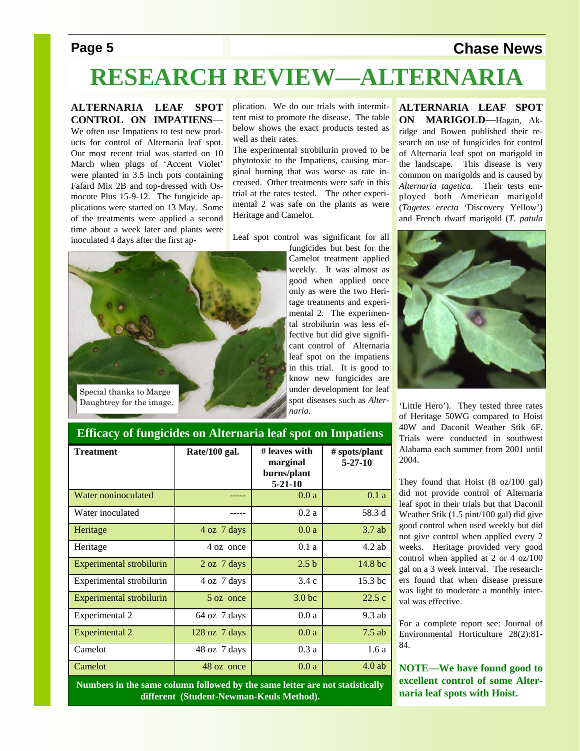## **Page 5** Chase News

# **RESEARCH REVIEW—ALTERNARIA**

### **ALTERNARIA LEAF SPOT CONTROL ON IMPATIENS**—

We often use Impatiens to test new products for control of Alternaria leaf spot. Our most recent trial was started on 10 March when plugs of 'Accent Violet' were planted in 3.5 inch pots containing Fafard Mix 2B and top-dressed with Osmocote Plus 15-9-12. The fungicide applications were started on 13 May. Some of the treatments were applied a second time about a week later and plants were inoculated 4 days after the first application. We do our trials with intermittent mist to promote the disease. The table below shows the exact products tested as well as their rates.

The experimental strobilurin proved to be phytotoxic to the Impatiens, causing marginal burning that was worse as rate increased. Other treatments were safe in this trial at the rates tested. The other experimental 2 was safe on the plants as were Heritage and Camelot.

Leaf spot control was significant for all



fungicides but best for the Camelot treatment applied weekly. It was almost as good when applied once only as were the two Heritage treatments and experimental 2. The experimental strobilurin was less effective but did give significant control of Alternaria leaf spot on the impatiens in this trial. It is good to know new fungicides are under development for leaf spot diseases such as *Alternaria*.

**ALTERNARIA LEAF SPOT ON MARIGOLD—**Hagan, Akridge and Bowen published their research on use of fungicides for control of Alternaria leaf spot on marigold in the landscape. This disease is very common on marigolds and is caused by *Alternaria tagetica*. Their tests employed both American marigold (*Tagetes erecta* 'Discovery Yellow') and French dwarf marigold (*T. patula* 



'Little Hero'). They tested three rates of Heritage 50WG compared to Hoist 40W and Daconil Weather Stik 6F. Trials were conducted in southwest Alabama each summer from 2001 until 2004.

They found that Hoist (8 oz/100 gal) did not provide control of Alternaria leaf spot in their trials but that Daconil Weather Stik (1.5 pint/100 gal) did give good control when used weekly but did not give control when applied every 2 weeks. Heritage provided very good control when applied at 2 or 4 oz/100 gal on a 3 week interval. The researchers found that when disease pressure was light to moderate a monthly interval was effective.

For a complete report see: Journal of Environmental Horticulture 28(2):81- 84.

**NOTE—We have found good to excellent control of some Alternaria leaf spots with Hoist.** 

### **Efficacy of fungicides on Alternaria leaf spot on Impatiens**

| <b>Treatment</b>                | Rate/100 gal.   | # leaves with<br>marginal<br>burns/plant<br>$5 - 21 - 10$ | # spots/plant<br>$5 - 27 - 10$ |
|---------------------------------|-----------------|-----------------------------------------------------------|--------------------------------|
| <b>Water noninoculated</b>      |                 | 0.0a                                                      | 0.1a                           |
| Water inoculated                |                 | 0.2a                                                      | 58.3 d                         |
| Heritage                        | 4 oz 7 days     | 0.0a                                                      | $3.7$ ab                       |
| Heritage                        | 4 oz once       | 0.1a                                                      | $4.2$ ab                       |
| Experimental strobilurin        | 2 oz 7 days     | 2.5 <sub>b</sub>                                          | 14.8 bc                        |
| Experimental strobilurin        | 4 oz 7 days     | 3.4c                                                      | 15.3 <sub>bc</sub>             |
| <b>Experimental strobilurin</b> | 5 oz once       | 3.0 <sub>bc</sub>                                         | 22.5c                          |
| Experimental 2                  | 64 oz 7 days    | 0.0a                                                      | $9.3$ ab                       |
| <b>Experimental 2</b>           | $128$ oz 7 days | 0.0a                                                      | $7.5$ ab                       |
| Camelot                         | 48 oz 7 days    | 0.3a                                                      | 1.6a                           |
| Camelot                         | 48 oz once      | 0.0a                                                      | $4.0$ ab                       |

**Numbers in the same column followed by the same letter are not statistically different (Student-Newman-Keuls Method).**